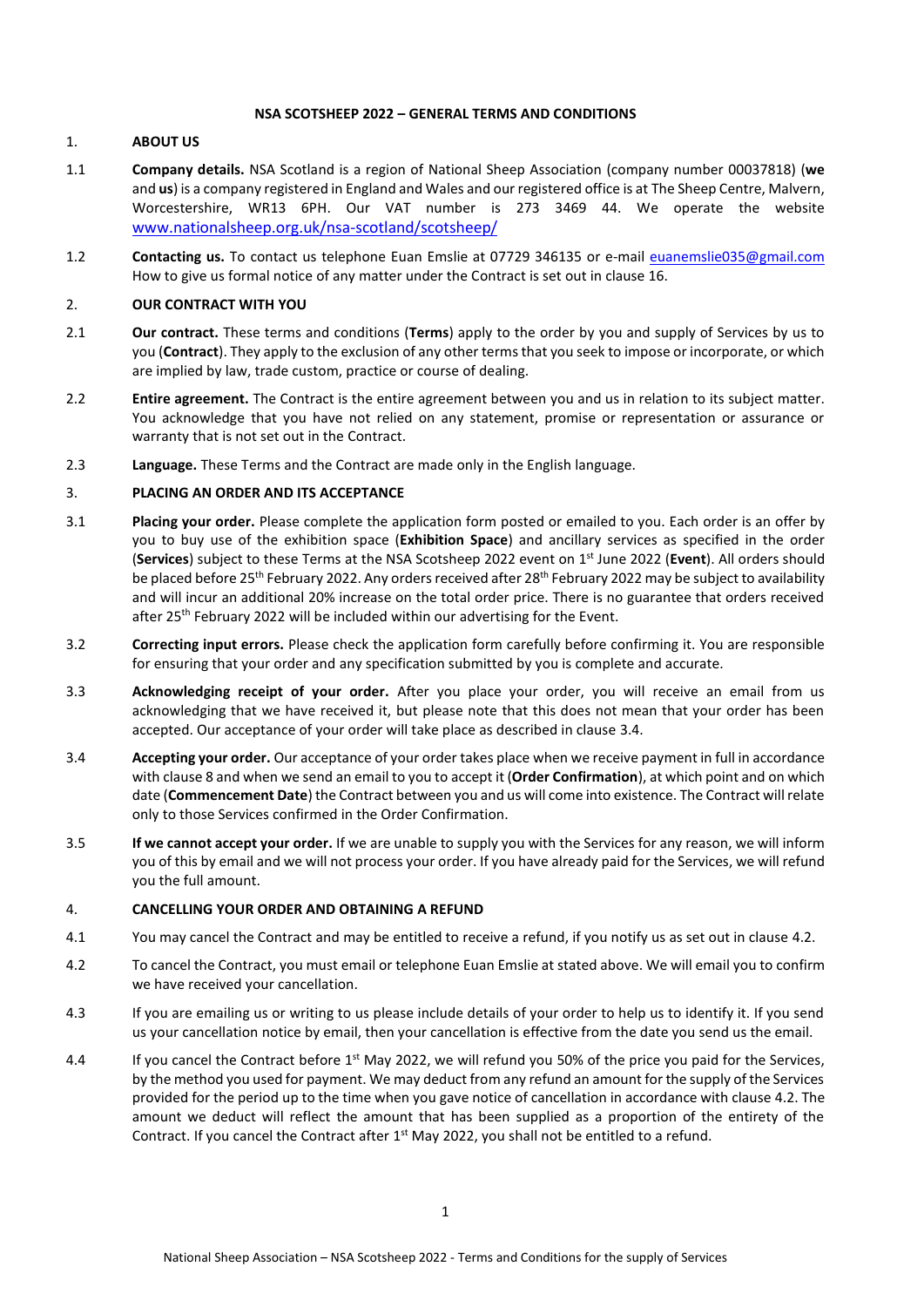## **NSA SCOTSHEEP 2022 – GENERAL TERMS AND CONDITIONS**

## 1. **ABOUT US**

- 1.1 **Company details.** NSA Scotland is a region of National Sheep Association (company number 00037818) (**we** and **us**) is a company registered in England and Wales and our registered office is at The Sheep Centre, Malvern, Worcestershire, WR13 6PH. Our VAT number is 273 3469 44. We operate the website [www.nationalsheep.org.uk/nsa-scotland/scotsheep/](http://www.nationalsheep.org.uk/nsa-scotland/scotsheep/)
- 1.2 **Contacting us.** To contact us telephone Euan Emslie at 07729 346135 or e-mail [euanemslie035@gmail.com](mailto:euanemslie035@gmail.com) How to give us formal notice of any matter under the Contract is set out in clause [16.](#page-5-0)

## 2. **OUR CONTRACT WITH YOU**

- 2.1 **Our contract.** These terms and conditions (**Terms**) apply to the order by you and supply of Services by us to you (**Contract**). They apply to the exclusion of any other terms that you seek to impose or incorporate, or which are implied by law, trade custom, practice or course of dealing.
- 2.2 **Entire agreement.** The Contract is the entire agreement between you and us in relation to its subject matter. You acknowledge that you have not relied on any statement, promise or representation or assurance or warranty that is not set out in the Contract.
- 2.3 **Language.** These Terms and the Contract are made only in the English language.

## 3. **PLACING AN ORDER AND ITS ACCEPTANCE**

- 3.1 **Placing your order.** Please complete the application form posted or emailed to you. Each order is an offer by you to buy use of the exhibition space (**Exhibition Space**) and ancillary services as specified in the order (**Services**) subject to these Terms at the NSA Scotsheep 2022 event on 1 st June 2022 (**Event**). All orders should be placed before 25<sup>th</sup> February 2022. Any orders received after 28<sup>th</sup> February 2022 may be subject to availability and will incur an additional 20% increase on the total order price. There is no guarantee that orders received after 25<sup>th</sup> February 2022 will be included within our advertising for the Event.
- 3.2 **Correcting input errors.** Please check the application form carefully before confirming it. You are responsible for ensuring that your order and any specification submitted by you is complete and accurate.
- 3.3 **Acknowledging receipt of your order.** After you place your order, you will receive an email from us acknowledging that we have received it, but please note that this does not mean that your order has been accepted. Our acceptance of your order will take place as described in claus[e 3.4.](#page-0-0)
- <span id="page-0-0"></span>3.4 **Accepting your order.** Our acceptance of your order takes place when we receive payment in full in accordance with claus[e 8](#page-2-0) and when we send an email to you to accept it (**Order Confirmation**), at which point and on which date (**Commencement Date**) the Contract between you and us will come into existence. The Contract will relate only to those Services confirmed in the Order Confirmation.
- 3.5 **If we cannot accept your order.** If we are unable to supply you with the Services for any reason, we will inform you of this by email and we will not process your order. If you have already paid for the Services, we will refund you the full amount.

#### 4. **CANCELLING YOUR ORDER AND OBTAINING A REFUND**

- 4.1 You may cancel the Contract and may be entitled to receive a refund, if you notify us as set out in claus[e 4.2.](#page-0-1)
- <span id="page-0-1"></span>4.2 To cancel the Contract, you must email or telephone Euan Emslie at stated above. We will email you to confirm we have received your cancellation.
- 4.3 If you are emailing us or writing to us please include details of your order to help us to identify it. If you send us your cancellation notice by email, then your cancellation is effective from the date you send us the email.
- 4.4 If you cancel the Contract before 1<sup>st</sup> May 2022, we will refund you 50% of the price you paid for the Services, by the method you used for payment. We may deduct from any refund an amount for the supply of the Services provided for the period up to the time when you gave notice of cancellation in accordance with claus[e 4.2.](#page-0-1) The amount we deduct will reflect the amount that has been supplied as a proportion of the entirety of the Contract. If you cancel the Contract after  $1<sup>st</sup>$  May 2022, you shall not be entitled to a refund.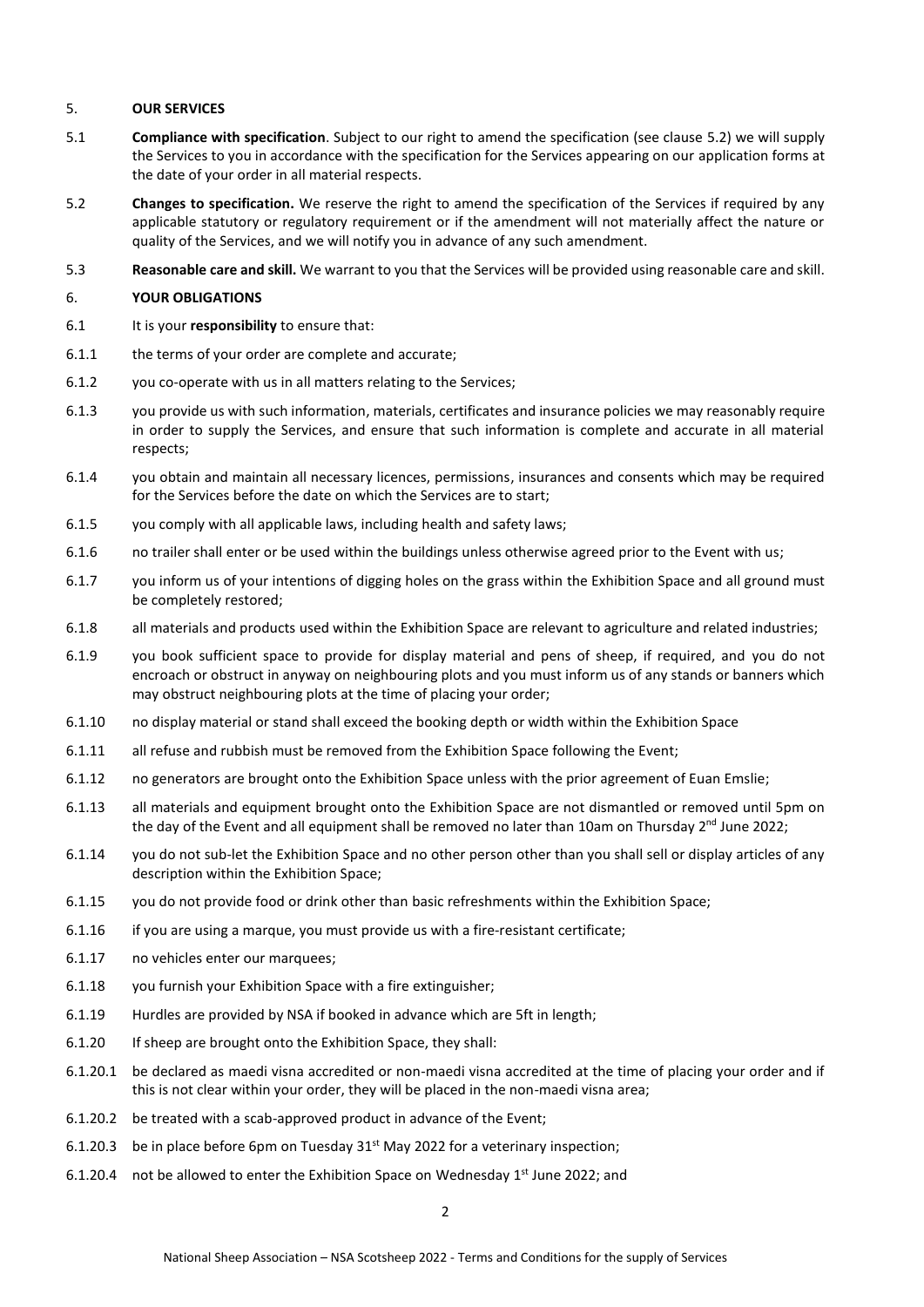# 5. **OUR SERVICES**

- <span id="page-1-3"></span>5.1 **Compliance with specification**. Subject to our right to amend the specification (see claus[e 5.2\)](#page-1-0) we will supply the Services to you in accordance with the specification for the Services appearing on our application forms at the date of your order in all material respects.
- <span id="page-1-0"></span>5.2 **Changes to specification.** We reserve the right to amend the specification of the Services if required by any applicable statutory or regulatory requirement or if the amendment will not materially affect the nature or quality of the Services, and we will notify you in advance of any such amendment.
- 5.3 **Reasonable care and skill.** We warrant to you that the Services will be provided using reasonable care and skill.

## 6. **YOUR OBLIGATIONS**

- <span id="page-1-1"></span>6.1 It is your **responsibility** to ensure that:
- 6.1.1 the terms of your order are complete and accurate;
- 6.1.2 you co-operate with us in all matters relating to the Services;
- 6.1.3 you provide us with such information, materials, certificates and insurance policies we may reasonably require in order to supply the Services, and ensure that such information is complete and accurate in all material respects;
- 6.1.4 you obtain and maintain all necessary licences, permissions, insurances and consents which may be required for the Services before the date on which the Services are to start;
- 6.1.5 you comply with all applicable laws, including health and safety laws;
- 6.1.6 no trailer shall enter or be used within the buildings unless otherwise agreed prior to the Event with us;
- 6.1.7 you inform us of your intentions of digging holes on the grass within the Exhibition Space and all ground must be completely restored;
- 6.1.8 all materials and products used within the Exhibition Space are relevant to agriculture and related industries;
- 6.1.9 you book sufficient space to provide for display material and pens of sheep, if required, and you do not encroach or obstruct in anyway on neighbouring plots and you must inform us of any stands or banners which may obstruct neighbouring plots at the time of placing your order;
- 6.1.10 no display material or stand shall exceed the booking depth or width within the Exhibition Space
- 6.1.11 all refuse and rubbish must be removed from the Exhibition Space following the Event;
- 6.1.12 no generators are brought onto the Exhibition Space unless with the prior agreement of Euan Emslie;
- 6.1.13 all materials and equipment brought onto the Exhibition Space are not dismantled or removed until 5pm on the day of the Event and all equipment shall be removed no later than 10am on Thursday 2<sup>nd</sup> June 2022;
- 6.1.14 you do not sub-let the Exhibition Space and no other person other than you shall sell or display articles of any description within the Exhibition Space;
- <span id="page-1-2"></span>6.1.15 you do not provide food or drink other than basic refreshments within the Exhibition Space;
- 6.1.16 if you are using a marque, you must provide us with a fire-resistant certificate;
- 6.1.17 no vehicles enter our marquees;
- 6.1.18 you furnish your Exhibition Space with a fire extinguisher;
- 6.1.19 Hurdles are provided by NSA if booked in advance which are 5ft in length;
- 6.1.20 If sheep are brought onto the Exhibition Space, they shall:
- 6.1.20.1 be declared as maedi visna accredited or non-maedi visna accredited at the time of placing your order and if this is not clear within your order, they will be placed in the non-maedi visna area;
- 6.1.20.2 be treated with a scab-approved product in advance of the Event;
- 6.1.20.3 be in place before 6pm on Tuesday  $31<sup>st</sup>$  May 2022 for a veterinary inspection;
- 6.1.20.4 not be allowed to enter the Exhibition Space on Wednesday 1<sup>st</sup> June 2022; and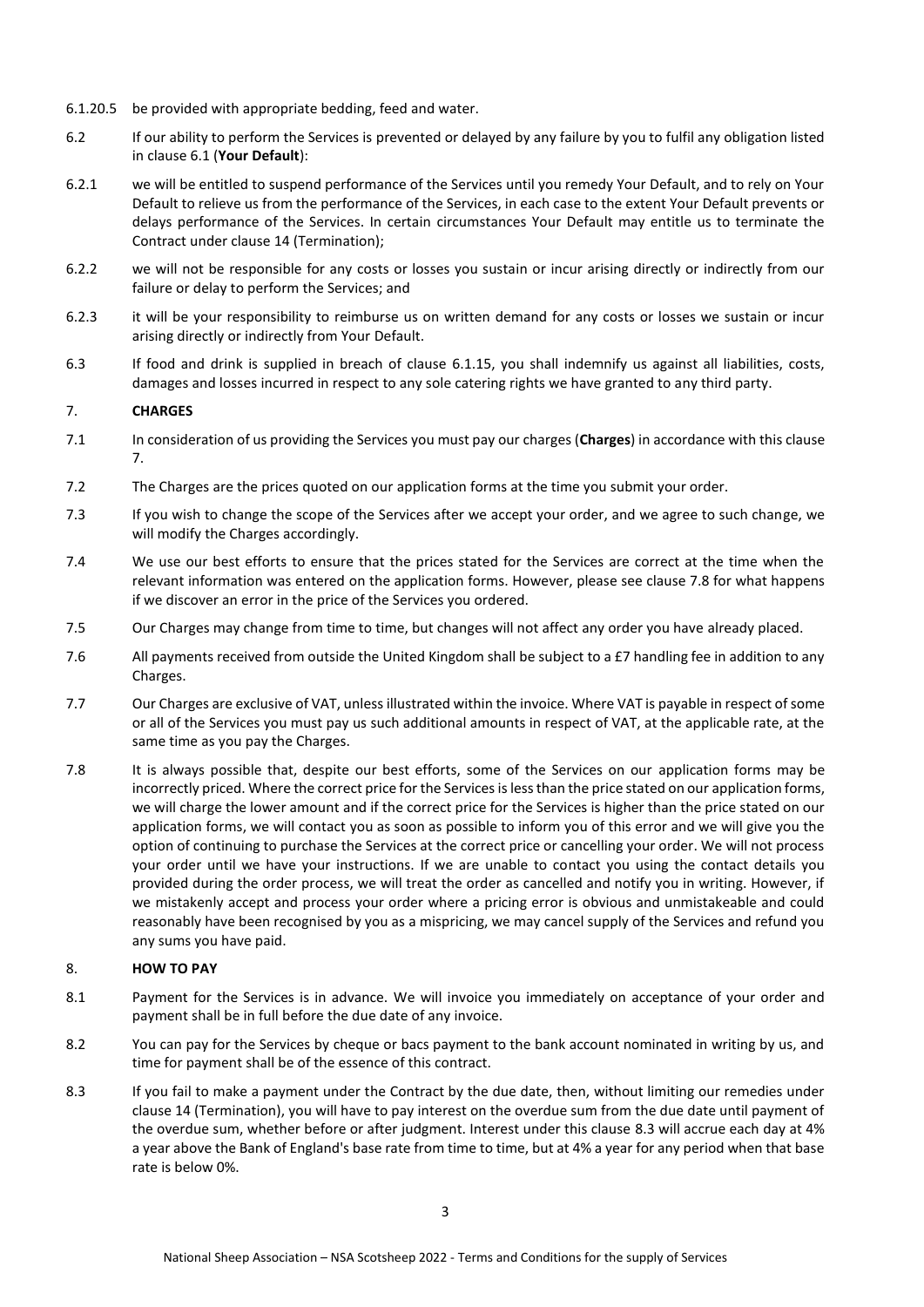- 6.1.20.5 be provided with appropriate bedding, feed and water.
- 6.2 If our ability to perform the Services is prevented or delayed by any failure by you to fulfil any obligation listed in claus[e 6.1](#page-1-1) (**Your Default**):
- 6.2.1 we will be entitled to suspend performance of the Services until you remedy Your Default, and to rely on Your Default to relieve us from the performance of the Services, in each case to the extent Your Default prevents or delays performance of the Services. In certain circumstances Your Default may entitle us to terminate the Contract under claus[e 14](#page-4-0) (Termination);
- 6.2.2 we will not be responsible for any costs or losses you sustain or incur arising directly or indirectly from our failure or delay to perform the Services; and
- 6.2.3 it will be your responsibility to reimburse us on written demand for any costs or losses we sustain or incur arising directly or indirectly from Your Default.
- 6.3 If food and drink is supplied in breach of clause [6.1.15,](#page-1-2) you shall indemnify us against all liabilities, costs, damages and losses incurred in respect to any sole catering rights we have granted to any third party.

# <span id="page-2-1"></span>7. **CHARGES**

- 7.1 In consideration of us providing the Services you must pay our charges (**Charges**) in accordance with this clause [7.](#page-2-1)
- 7.2 The Charges are the prices quoted on our application forms at the time you submit your order.
- 7.3 If you wish to change the scope of the Services after we accept your order, and we agree to such change, we will modify the Charges accordingly.
- 7.4 We use our best efforts to ensure that the prices stated for the Services are correct at the time when the relevant information was entered on the application forms. However, please see claus[e 7.8](#page-2-2) for what happens if we discover an error in the price of the Services you ordered.
- 7.5 Our Charges may change from time to time, but changes will not affect any order you have already placed.
- 7.6 All payments received from outside the United Kingdom shall be subject to a £7 handling fee in addition to any Charges.
- 7.7 Our Charges are exclusive of VAT, unless illustrated within the invoice. Where VAT is payable in respect of some or all of the Services you must pay us such additional amounts in respect of VAT, at the applicable rate, at the same time as you pay the Charges.
- <span id="page-2-2"></span>7.8 It is always possible that, despite our best efforts, some of the Services on our application forms may be incorrectly priced. Where the correct price for the Services is less than the price stated on our application forms, we will charge the lower amount and if the correct price for the Services is higher than the price stated on our application forms, we will contact you as soon as possible to inform you of this error and we will give you the option of continuing to purchase the Services at the correct price or cancelling your order. We will not process your order until we have your instructions. If we are unable to contact you using the contact details you provided during the order process, we will treat the order as cancelled and notify you in writing. However, if we mistakenly accept and process your order where a pricing error is obvious and unmistakeable and could reasonably have been recognised by you as a mispricing, we may cancel supply of the Services and refund you any sums you have paid.

# <span id="page-2-0"></span>8. **HOW TO PAY**

- 8.1 Payment for the Services is in advance. We will invoice you immediately on acceptance of your order and payment shall be in full before the due date of any invoice.
- 8.2 You can pay for the Services by cheque or bacs payment to the bank account nominated in writing by us, and time for payment shall be of the essence of this contract.
- <span id="page-2-3"></span>8.3 If you fail to make a payment under the Contract by the due date, then, without limiting our remedies under clause [14](#page-4-0) (Termination), you will have to pay interest on the overdue sum from the due date until payment of the overdue sum, whether before or after judgment. Interest under this clause [8.3](#page-2-3) will accrue each day at 4% a year above the Bank of England's base rate from time to time, but at 4% a year for any period when that base rate is below 0%.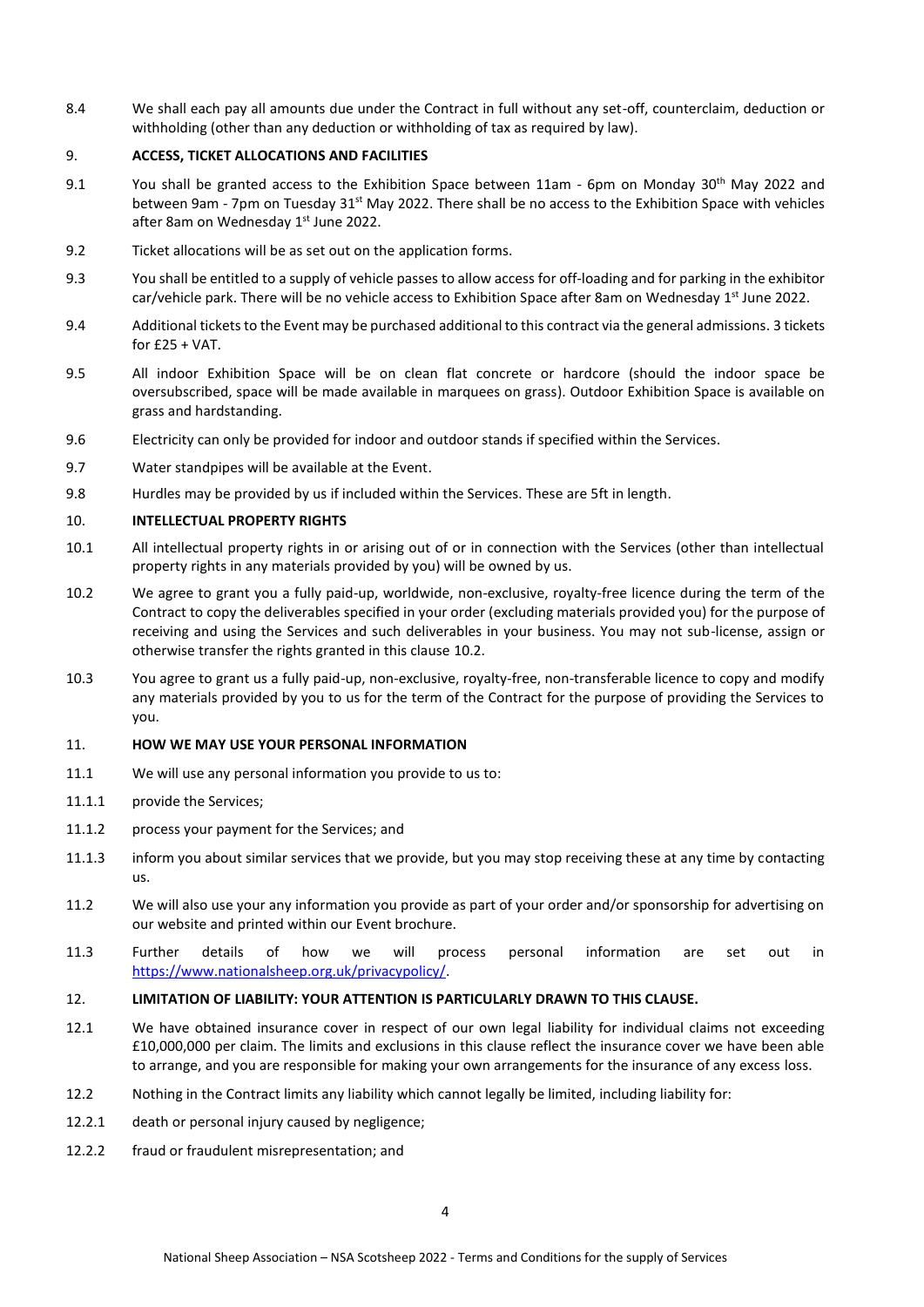8.4 We shall each pay all amounts due under the Contract in full without any set-off, counterclaim, deduction or withholding (other than any deduction or withholding of tax as required by law).

## 9. **ACCESS, TICKET ALLOCATIONS AND FACILITIES**

- 9.1 You shall be granted access to the Exhibition Space between 11am 6pm on Monday 30<sup>th</sup> May 2022 and between 9am - 7pm on Tuesday 31<sup>st</sup> May 2022. There shall be no access to the Exhibition Space with vehicles after 8am on Wednesday 1<sup>st</sup> June 2022.
- 9.2 Ticket allocations will be as set out on the application forms.
- 9.3 You shall be entitled to a supply of vehicle passes to allow access for off-loading and for parking in the exhibitor car/vehicle park. There will be no vehicle access to Exhibition Space after 8am on Wednesday 1<sup>st</sup> June 2022.
- 9.4 Additional tickets to the Event may be purchased additional to this contract via the general admissions. 3 tickets for  $£25 + VAT$ .
- 9.5 All indoor Exhibition Space will be on clean flat concrete or hardcore (should the indoor space be oversubscribed, space will be made available in marquees on grass). Outdoor Exhibition Space is available on grass and hardstanding.
- 9.6 Electricity can only be provided for indoor and outdoor stands if specified within the Services.
- 9.7 Water standpipes will be available at the Event.
- 9.8 Hurdles may be provided by us if included within the Services. These are 5ft in length.

#### 10. **INTELLECTUAL PROPERTY RIGHTS**

- 10.1 All intellectual property rights in or arising out of or in connection with the Services (other than intellectual property rights in any materials provided by you) will be owned by us.
- <span id="page-3-0"></span>10.2 We agree to grant you a fully paid-up, worldwide, non-exclusive, royalty-free licence during the term of the Contract to copy the deliverables specified in your order (excluding materials provided you) for the purpose of receiving and using the Services and such deliverables in your business. You may not sub-license, assign or otherwise transfer the rights granted in this claus[e 10.2.](#page-3-0)
- 10.3 You agree to grant us a fully paid-up, non-exclusive, royalty-free, non-transferable licence to copy and modify any materials provided by you to us for the term of the Contract for the purpose of providing the Services to you.

#### 11. **HOW WE MAY USE YOUR PERSONAL INFORMATION**

- 11.1 We will use any personal information you provide to us to:
- 11.1.1 provide the Services;
- 11.1.2 process your payment for the Services; and
- 11.1.3 inform you about similar services that we provide, but you may stop receiving these at any time by contacting us.
- 11.2 We will also use your any information you provide as part of your order and/or sponsorship for advertising on our website and printed within our Event brochure.
- 11.3 Further details of how we will process personal information are set out in [https://www.nationalsheep.org.uk/privacypolicy/.](https://www.nationalsheep.org.uk/privacypolicy/)

#### <span id="page-3-2"></span>12. **LIMITATION OF LIABILITY: YOUR ATTENTION IS PARTICULARLY DRAWN TO THIS CLAUSE.**

- 12.1 We have obtained insurance cover in respect of our own legal liability for individual claims not exceeding £10,000,000 per claim. The limits and exclusions in this clause reflect the insurance cover we have been able to arrange, and you are responsible for making your own arrangements for the insurance of any excess loss.
- <span id="page-3-1"></span>12.2 Nothing in the Contract limits any liability which cannot legally be limited, including liability for:
- 12.2.1 death or personal injury caused by negligence;
- 12.2.2 fraud or fraudulent misrepresentation; and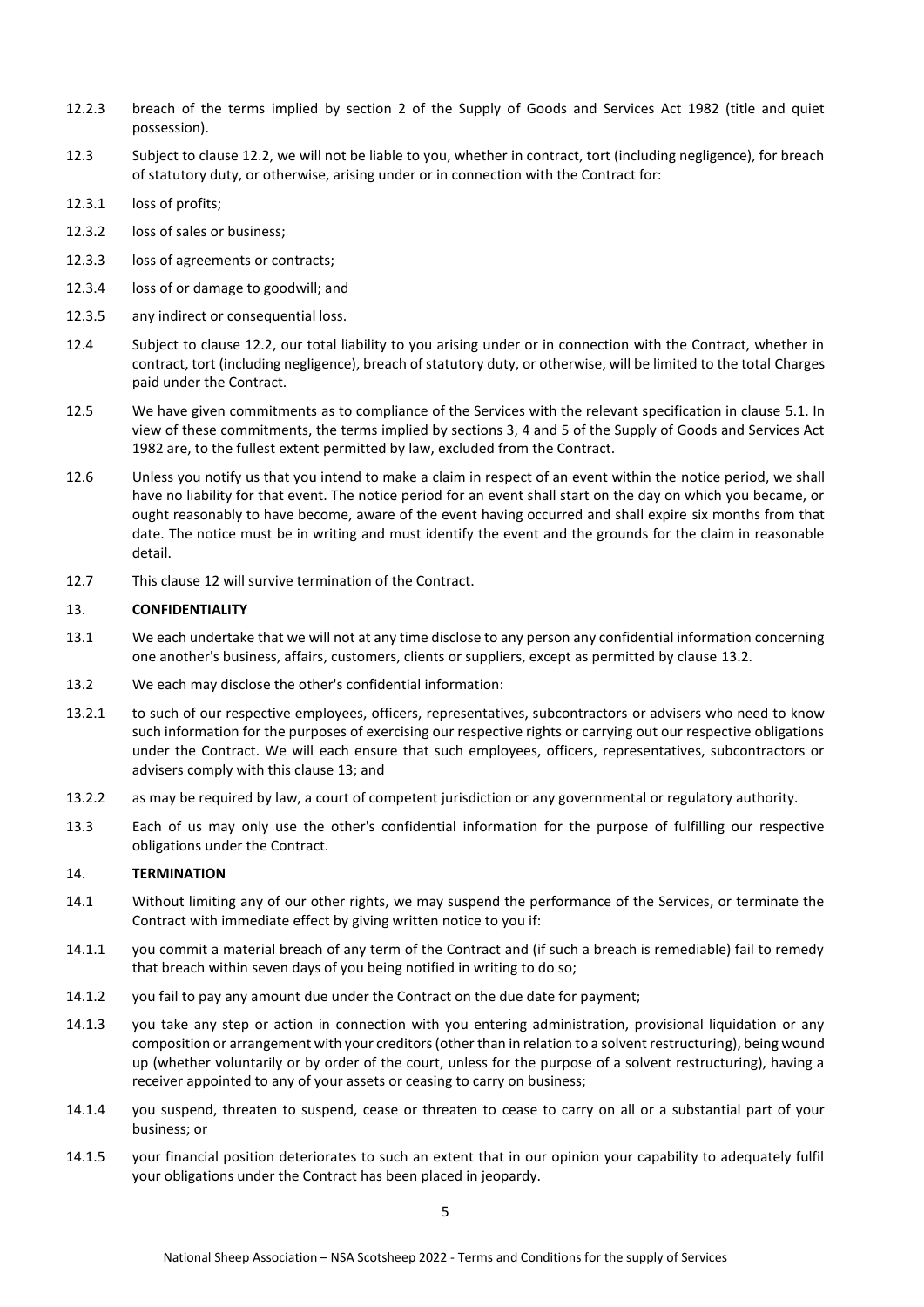- 12.2.3 breach of the terms implied by section 2 of the Supply of Goods and Services Act 1982 (title and quiet possession).
- 12.3 Subject to clause [12.2,](#page-3-1) we will not be liable to you, whether in contract, tort (including negligence), for breach of statutory duty, or otherwise, arising under or in connection with the Contract for:
- 12.3.1 loss of profits;
- 12.3.2 loss of sales or business;
- 12.3.3 loss of agreements or contracts;
- 12.3.4 loss of or damage to goodwill; and
- 12.3.5 any indirect or consequential loss.
- 12.4 Subject to clause [12.2,](#page-3-1) our total liability to you arising under or in connection with the Contract, whether in contract, tort (including negligence), breach of statutory duty, or otherwise, will be limited to the total Charges paid under the Contract.
- 12.5 We have given commitments as to compliance of the Services with the relevant specification in clause [5.1.](#page-1-3) In view of these commitments, the terms implied by sections 3, 4 and 5 of the Supply of Goods and Services Act 1982 are, to the fullest extent permitted by law, excluded from the Contract.
- 12.6 Unless you notify us that you intend to make a claim in respect of an event within the notice period, we shall have no liability for that event. The notice period for an event shall start on the day on which you became, or ought reasonably to have become, aware of the event having occurred and shall expire six months from that date. The notice must be in writing and must identify the event and the grounds for the claim in reasonable detail.
- 12.7 This claus[e 12](#page-3-2) will survive termination of the Contract.

#### <span id="page-4-2"></span>13. **CONFIDENTIALITY**

- 13.1 We each undertake that we will not at any time disclose to any person any confidential information concerning one another's business, affairs, customers, clients or suppliers, except as permitted by claus[e 13.2.](#page-4-1)
- <span id="page-4-1"></span>13.2 We each may disclose the other's confidential information:
- 13.2.1 to such of our respective employees, officers, representatives, subcontractors or advisers who need to know such information for the purposes of exercising our respective rights or carrying out our respective obligations under the Contract. We will each ensure that such employees, officers, representatives, subcontractors or advisers comply with this claus[e 13;](#page-4-2) and
- 13.2.2 as may be required by law, a court of competent jurisdiction or any governmental or regulatory authority.
- 13.3 Each of us may only use the other's confidential information for the purpose of fulfilling our respective obligations under the Contract.

## <span id="page-4-0"></span>14. **TERMINATION**

- 14.1 Without limiting any of our other rights, we may suspend the performance of the Services, or terminate the Contract with immediate effect by giving written notice to you if:
- 14.1.1 you commit a material breach of any term of the Contract and (if such a breach is remediable) fail to remedy that breach within seven days of you being notified in writing to do so;
- 14.1.2 you fail to pay any amount due under the Contract on the due date for payment;
- 14.1.3 you take any step or action in connection with you entering administration, provisional liquidation or any composition or arrangement with your creditors (other than in relation to a solvent restructuring), being wound up (whether voluntarily or by order of the court, unless for the purpose of a solvent restructuring), having a receiver appointed to any of your assets or ceasing to carry on business;
- 14.1.4 you suspend, threaten to suspend, cease or threaten to cease to carry on all or a substantial part of your business; or
- 14.1.5 your financial position deteriorates to such an extent that in our opinion your capability to adequately fulfil your obligations under the Contract has been placed in jeopardy.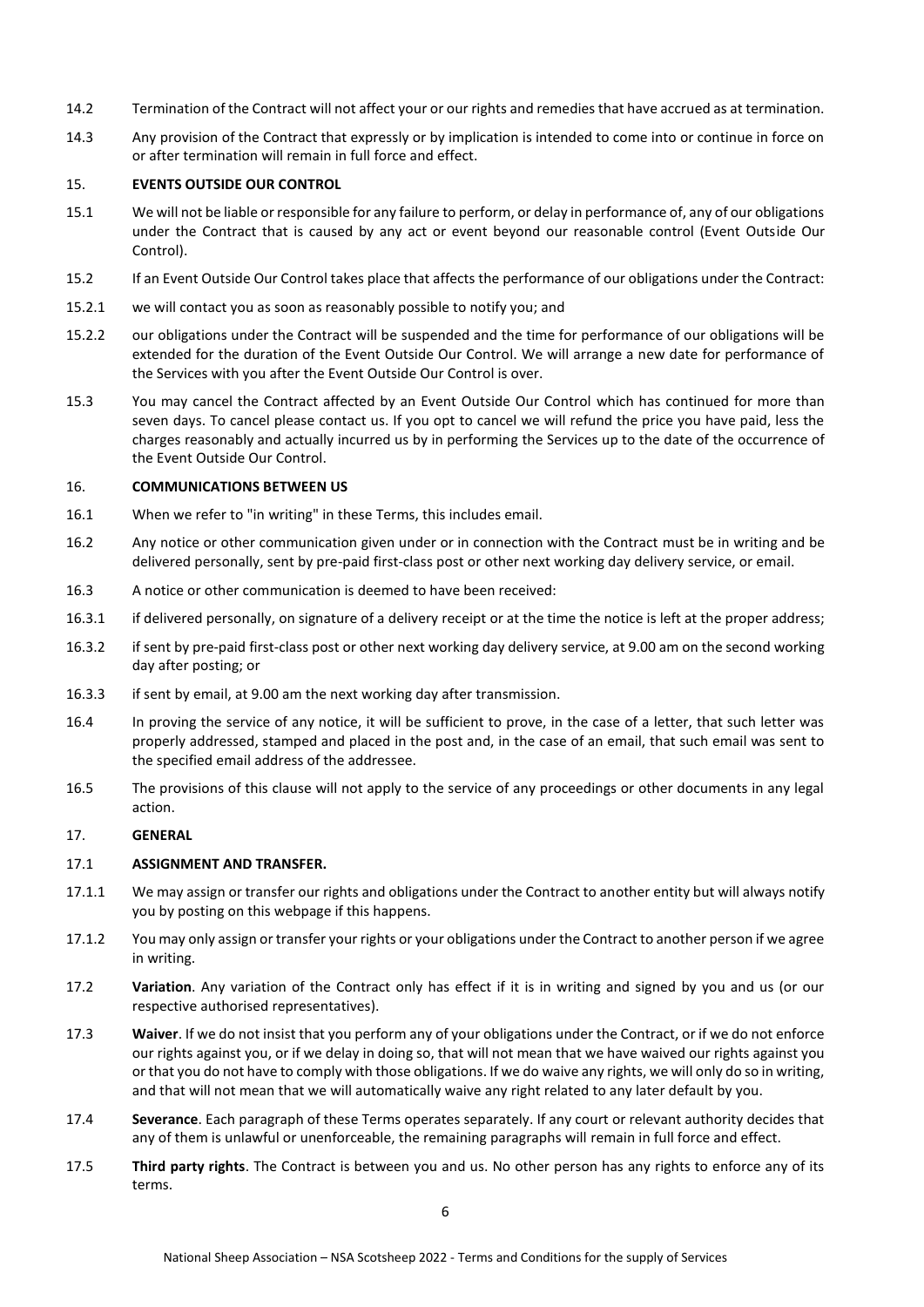- 14.2 Termination of the Contract will not affect your or our rights and remedies that have accrued as at termination.
- 14.3 Any provision of the Contract that expressly or by implication is intended to come into or continue in force on or after termination will remain in full force and effect.

## 15. **EVENTS OUTSIDE OUR CONTROL**

- 15.1 We will not be liable or responsible for any failure to perform, or delay in performance of, any of our obligations under the Contract that is caused by any act or event beyond our reasonable control (Event Outside Our Control).
- 15.2 If an Event Outside Our Control takes place that affects the performance of our obligations under the Contract:
- 15.2.1 we will contact you as soon as reasonably possible to notify you; and
- 15.2.2 our obligations under the Contract will be suspended and the time for performance of our obligations will be extended for the duration of the Event Outside Our Control. We will arrange a new date for performance of the Services with you after the Event Outside Our Control is over.
- 15.3 You may cancel the Contract affected by an Event Outside Our Control which has continued for more than seven days. To cancel please contact us. If you opt to cancel we will refund the price you have paid, less the charges reasonably and actually incurred us by in performing the Services up to the date of the occurrence of the Event Outside Our Control.

## <span id="page-5-0"></span>16. **COMMUNICATIONS BETWEEN US**

- 16.1 When we refer to "in writing" in these Terms, this includes email.
- 16.2 Any notice or other communication given under or in connection with the Contract must be in writing and be delivered personally, sent by pre-paid first-class post or other next working day delivery service, or email.
- 16.3 A notice or other communication is deemed to have been received:
- 16.3.1 if delivered personally, on signature of a delivery receipt or at the time the notice is left at the proper address;
- 16.3.2 if sent by pre-paid first-class post or other next working day delivery service, at 9.00 am on the second working day after posting; or
- 16.3.3 if sent by email, at 9.00 am the next working day after transmission.
- 16.4 In proving the service of any notice, it will be sufficient to prove, in the case of a letter, that such letter was properly addressed, stamped and placed in the post and, in the case of an email, that such email was sent to the specified email address of the addressee.
- 16.5 The provisions of this clause will not apply to the service of any proceedings or other documents in any legal action.

# 17. **GENERAL**

# 17.1 **ASSIGNMENT AND TRANSFER.**

- 17.1.1 We may assign or transfer our rights and obligations under the Contract to another entity but will always notify you by posting on this webpage if this happens.
- 17.1.2 You may only assign or transfer your rights or your obligations under the Contract to another person if we agree in writing.
- 17.2 **Variation**. Any variation of the Contract only has effect if it is in writing and signed by you and us (or our respective authorised representatives).
- 17.3 **Waiver**. If we do not insist that you perform any of your obligations under the Contract, or if we do not enforce our rights against you, or if we delay in doing so, that will not mean that we have waived our rights against you or that you do not have to comply with those obligations. If we do waive any rights, we will only do so in writing, and that will not mean that we will automatically waive any right related to any later default by you.
- 17.4 **Severance**. Each paragraph of these Terms operates separately. If any court or relevant authority decides that any of them is unlawful or unenforceable, the remaining paragraphs will remain in full force and effect.
- 17.5 **Third party rights**. The Contract is between you and us. No other person has any rights to enforce any of its terms.